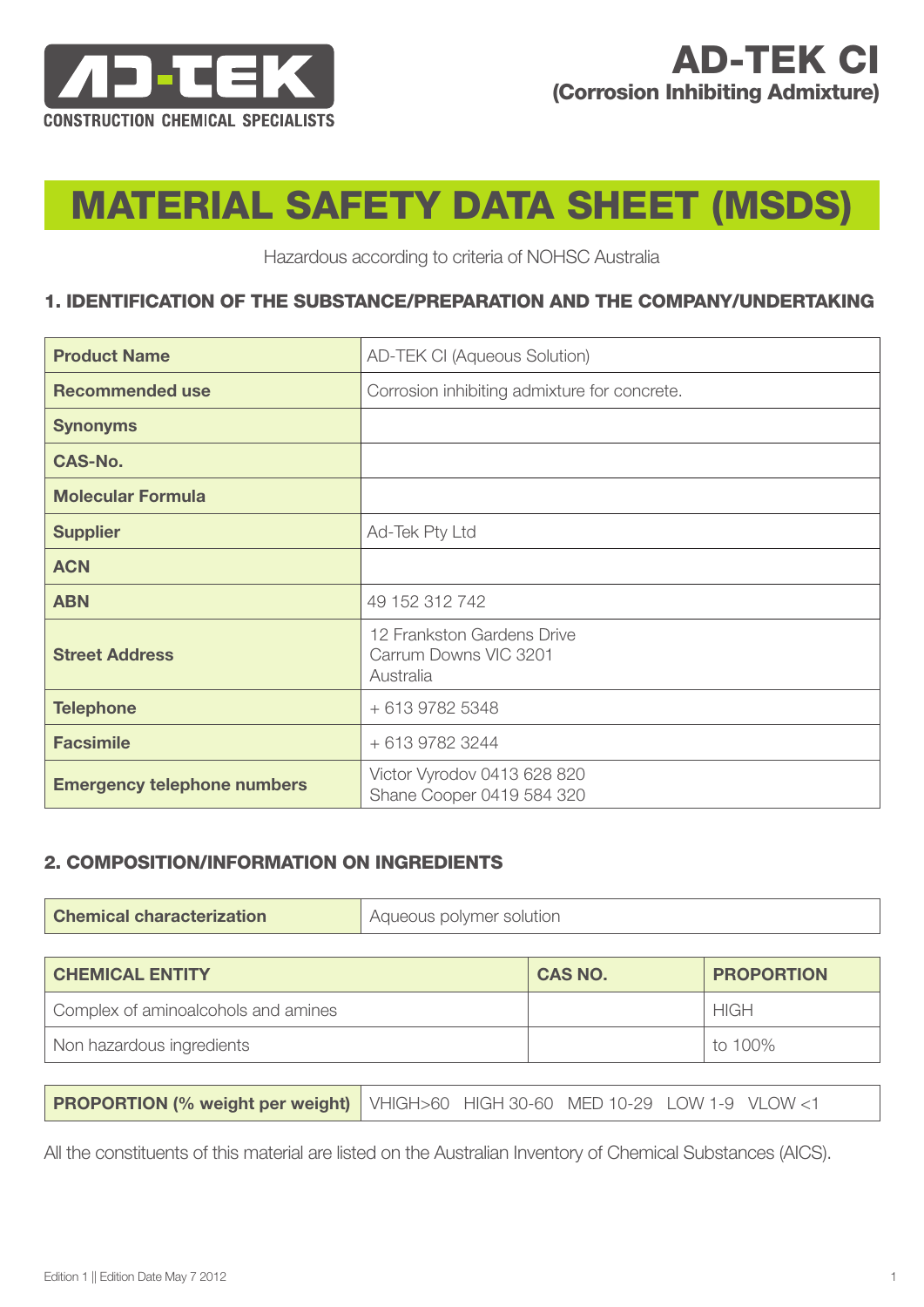

# MATERIAL SAFETY DATA SHEET (MSDS)

Hazardous according to criteria of NOHSC Australia

### 1. IDENTIFICATION OF THE SUBSTANCE/PREPARATION AND THE COMPANY/UNDERTAKING

| <b>Product Name</b>                | AD-TEK CI (Aqueous Solution)                                     |
|------------------------------------|------------------------------------------------------------------|
| <b>Recommended use</b>             | Corrosion inhibiting admixture for concrete.                     |
| <b>Synonyms</b>                    |                                                                  |
| <b>CAS-No.</b>                     |                                                                  |
| <b>Molecular Formula</b>           |                                                                  |
| <b>Supplier</b>                    | Ad-Tek Pty Ltd                                                   |
| <b>ACN</b>                         |                                                                  |
| <b>ABN</b>                         | 49 152 312 742                                                   |
| <b>Street Address</b>              | 12 Frankston Gardens Drive<br>Carrum Downs VIC 3201<br>Australia |
| <b>Telephone</b>                   | + 613 9782 5348                                                  |
| <b>Facsimile</b>                   | + 613 9782 3244                                                  |
| <b>Emergency telephone numbers</b> | Victor Vyrodov 0413 628 820<br>Shane Cooper 0419 584 320         |

#### 2. COMPOSITION/INFORMATION ON INGREDIENTS

| <b>Chemical characterization</b> | Aqueous polymer solution |
|----------------------------------|--------------------------|
|----------------------------------|--------------------------|

| <b>CHEMICAL ENTITY</b>              | <b>CAS NO.</b> | <b>PROPORTION</b> |
|-------------------------------------|----------------|-------------------|
| Complex of aminoalcohols and amines |                | HIGH              |
| Non hazardous ingredients           |                | to 100%           |

All the constituents of this material are listed on the Australian Inventory of Chemical Substances (AICS).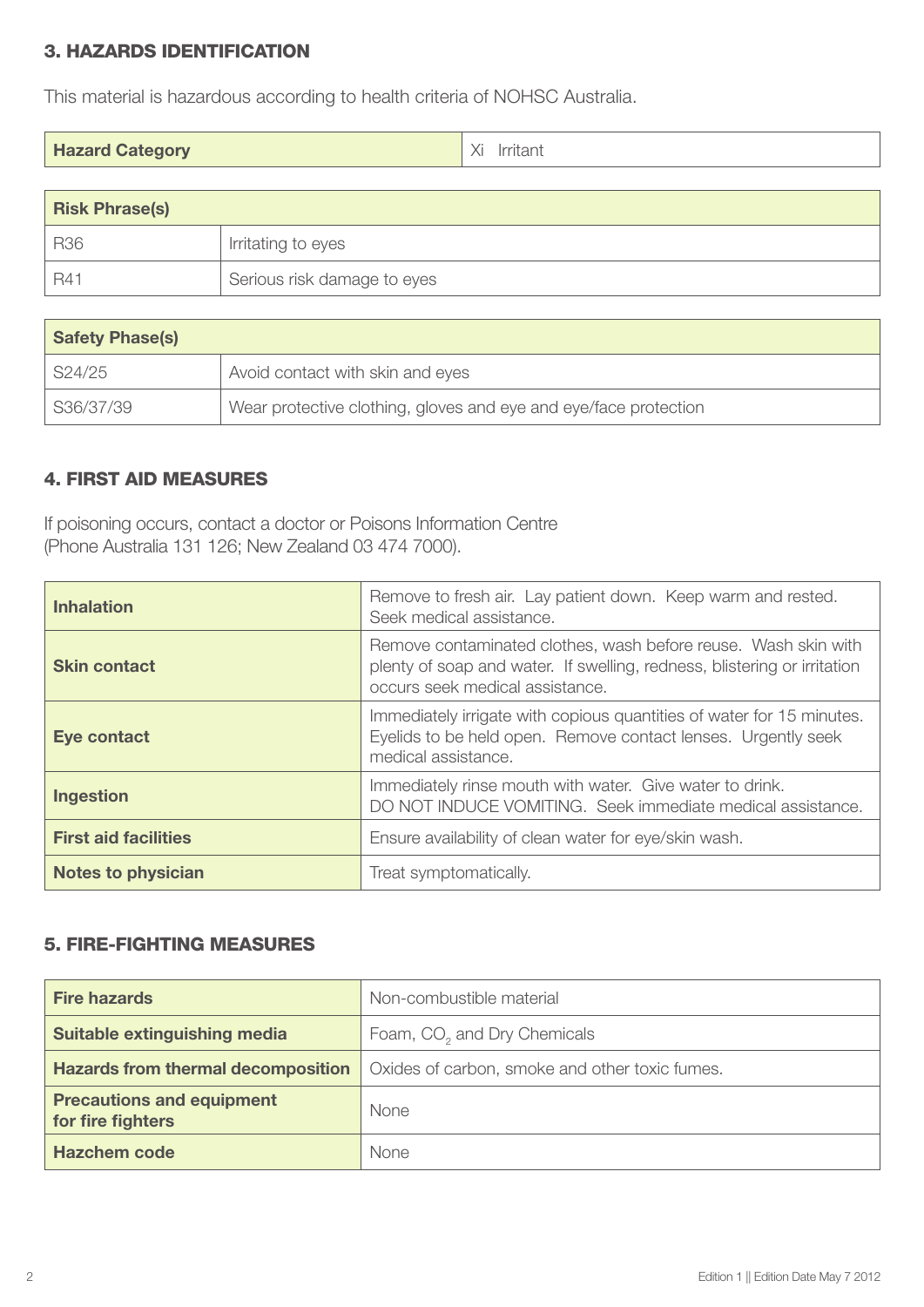# 3. HAZARDS IDENTIFICATION

This material is hazardous according to health criteria of NOHSC Australia.

| <b>Hazard Category</b> | Xi<br>Irritant |
|------------------------|----------------|
|------------------------|----------------|

| <b>Risk Phrase(s)</b> |                             |
|-----------------------|-----------------------------|
| <b>R36</b>            | Irritating to eyes          |
| $BA^{\circ}$          | Serious risk damage to eyes |

| <b>Safety Phase(s)</b> |                                                                  |
|------------------------|------------------------------------------------------------------|
| S24/25                 | Avoid contact with skin and eyes                                 |
| S36/37/39              | Wear protective clothing, gloves and eye and eye/face protection |

## 4. FIRST AID MEASURES

If poisoning occurs, contact a doctor or Poisons Information Centre (Phone Australia 131 126; New Zealand 03 474 7000).

| <b>Inhalation</b>           | Remove to fresh air. Lay patient down. Keep warm and rested.<br>Seek medical assistance.                                                                                      |
|-----------------------------|-------------------------------------------------------------------------------------------------------------------------------------------------------------------------------|
| <b>Skin contact</b>         | Remove contaminated clothes, wash before reuse. Wash skin with<br>plenty of soap and water. If swelling, redness, blistering or irritation<br>occurs seek medical assistance. |
| Eye contact                 | Immediately irrigate with copious quantities of water for 15 minutes.<br>Eyelids to be held open. Remove contact lenses. Urgently seek<br>medical assistance.                 |
| <b>Ingestion</b>            | Immediately rinse mouth with water. Give water to drink.<br>DO NOT INDUCE VOMITING. Seek immediate medical assistance.                                                        |
| <b>First aid facilities</b> | Ensure availability of clean water for eye/skin wash.                                                                                                                         |
| <b>Notes to physician</b>   | Treat symptomatically.                                                                                                                                                        |

# 5. FIRE-FIGHTING MEASURES

| <b>Fire hazards</b>                                   | Non-combustible material                       |
|-------------------------------------------------------|------------------------------------------------|
| Suitable extinguishing media                          | Foam, CO <sub>2</sub> and Dry Chemicals        |
| <b>Hazards from thermal decomposition</b>             | Oxides of carbon, smoke and other toxic fumes. |
| <b>Precautions and equipment</b><br>for fire fighters | <b>None</b>                                    |
| <b>Hazchem code</b>                                   | None                                           |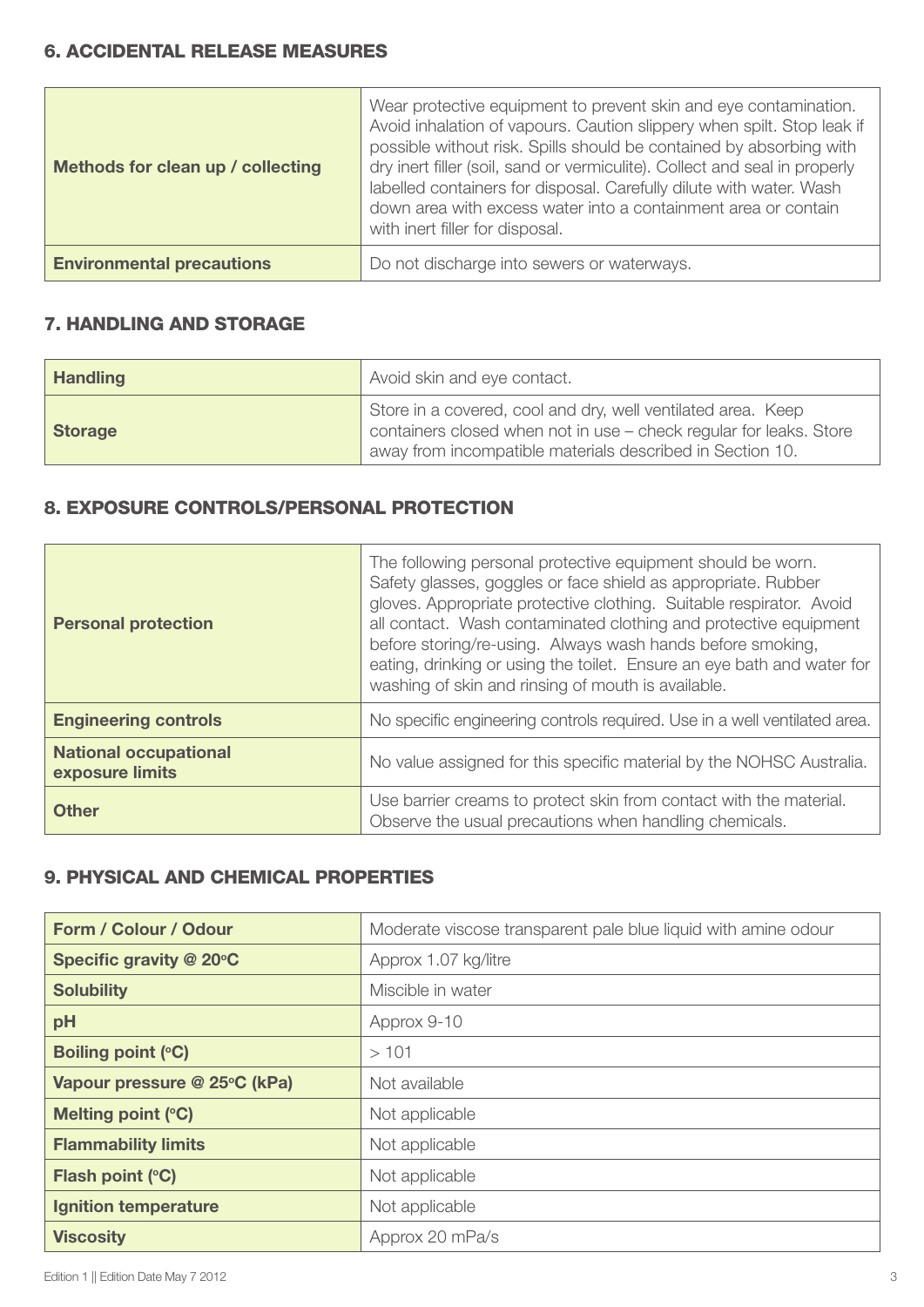### 6. ACCIDENTAL RELEASE MEASURES

| Methods for clean up / collecting | Wear protective equipment to prevent skin and eye contamination.<br>Avoid inhalation of vapours. Caution slippery when spilt. Stop leak if<br>possible without risk. Spills should be contained by absorbing with<br>dry inert filler (soil, sand or vermiculite). Collect and seal in properly<br>labelled containers for disposal. Carefully dilute with water. Wash<br>down area with excess water into a containment area or contain<br>with inert filler for disposal. |
|-----------------------------------|-----------------------------------------------------------------------------------------------------------------------------------------------------------------------------------------------------------------------------------------------------------------------------------------------------------------------------------------------------------------------------------------------------------------------------------------------------------------------------|
| <b>Environmental precautions</b>  | Do not discharge into sewers or waterways.                                                                                                                                                                                                                                                                                                                                                                                                                                  |

## 7. HANDLING AND STORAGE

| <b>Handling</b> | Avoid skin and eye contact.                                                                                                                                                                     |
|-----------------|-------------------------------------------------------------------------------------------------------------------------------------------------------------------------------------------------|
| <b>Storage</b>  | Store in a covered, cool and dry, well ventilated area. Keep<br>containers closed when not in use - check regular for leaks. Store<br>away from incompatible materials described in Section 10. |

# 8. EXPOSURE CONTROLS/PERSONAL PROTECTION

| <b>Personal protection</b>                      | The following personal protective equipment should be worn.<br>Safety glasses, goggles or face shield as appropriate. Rubber<br>gloves. Appropriate protective clothing. Suitable respirator. Avoid<br>all contact. Wash contaminated clothing and protective equipment<br>before storing/re-using. Always wash hands before smoking,<br>eating, drinking or using the toilet. Ensure an eye bath and water for<br>washing of skin and rinsing of mouth is available. |
|-------------------------------------------------|-----------------------------------------------------------------------------------------------------------------------------------------------------------------------------------------------------------------------------------------------------------------------------------------------------------------------------------------------------------------------------------------------------------------------------------------------------------------------|
| <b>Engineering controls</b>                     | No specific engineering controls required. Use in a well ventilated area.                                                                                                                                                                                                                                                                                                                                                                                             |
| <b>National occupational</b><br>exposure limits | No value assigned for this specific material by the NOHSC Australia.                                                                                                                                                                                                                                                                                                                                                                                                  |
| <b>Other</b>                                    | Use barrier creams to protect skin from contact with the material.<br>Observe the usual precautions when handling chemicals.                                                                                                                                                                                                                                                                                                                                          |

# 9. PHYSICAL AND CHEMICAL PROPERTIES

| Form / Colour / Odour        | Moderate viscose transparent pale blue liquid with amine odour |
|------------------------------|----------------------------------------------------------------|
| Specific gravity @ 20°C      | Approx 1.07 kg/litre                                           |
| <b>Solubility</b>            | Miscible in water                                              |
| pH                           | Approx 9-10                                                    |
| <b>Boiling point (°C)</b>    | >101                                                           |
| Vapour pressure @ 25°C (kPa) | Not available                                                  |
| Melting point (°C)           | Not applicable                                                 |
| <b>Flammability limits</b>   | Not applicable                                                 |
| Flash point (°C)             | Not applicable                                                 |
| <b>Ignition temperature</b>  | Not applicable                                                 |
| <b>Viscosity</b>             | Approx 20 mPa/s                                                |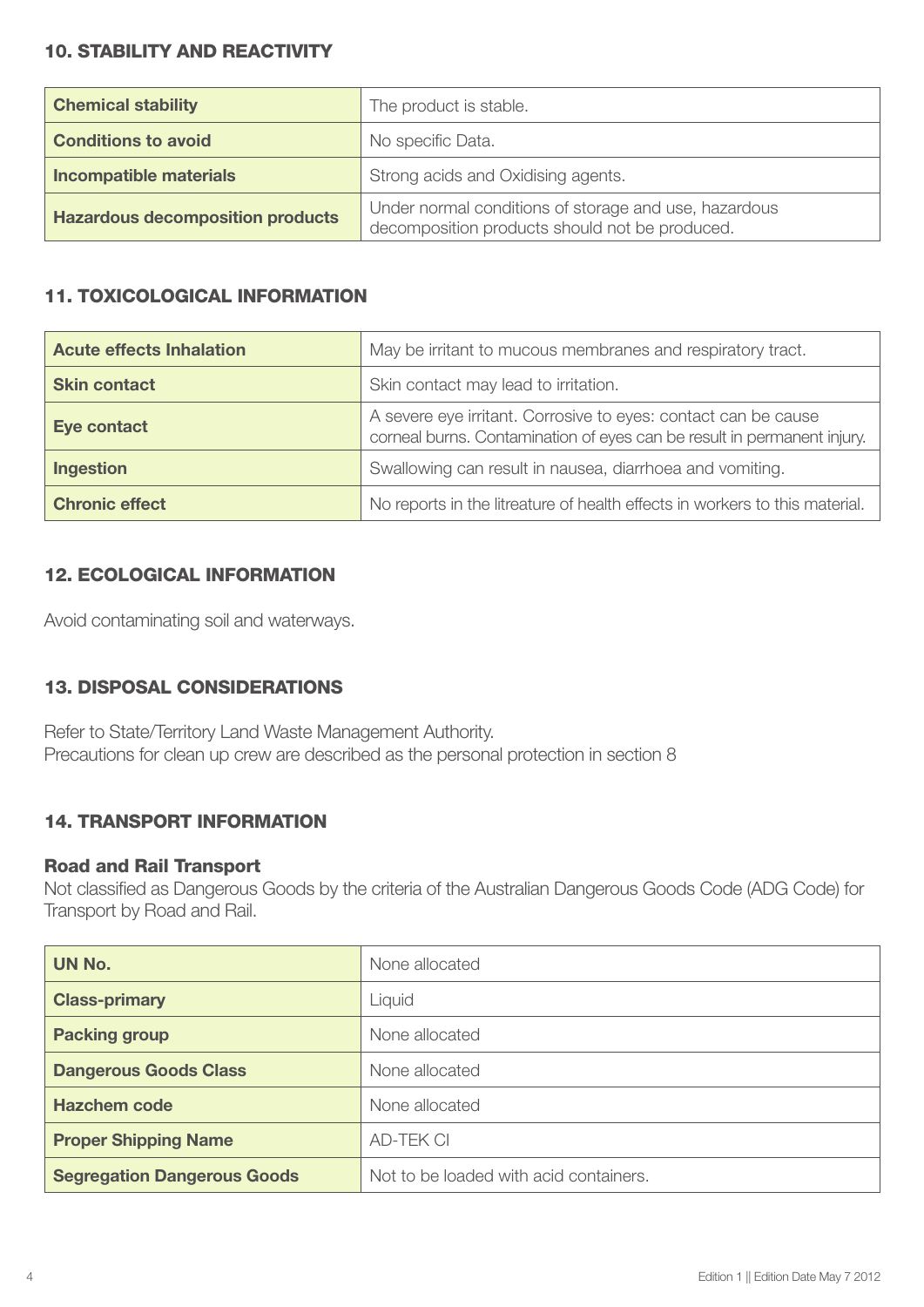## 10. STABILITY AND REACTIVITY

| <b>Chemical stability</b>               | The product is stable.                                                                                  |
|-----------------------------------------|---------------------------------------------------------------------------------------------------------|
| <b>Conditions to avoid</b>              | No specific Data.                                                                                       |
| <b>Incompatible materials</b>           | Strong acids and Oxidising agents.                                                                      |
| <b>Hazardous decomposition products</b> | Under normal conditions of storage and use, hazardous<br>decomposition products should not be produced. |

# 11. TOXICOLOGICAL INFORMATION

| <b>Acute effects Inhalation</b> | May be irritant to mucous membranes and respiratory tract.                                                                                |
|---------------------------------|-------------------------------------------------------------------------------------------------------------------------------------------|
| <b>Skin contact</b>             | Skin contact may lead to irritation.                                                                                                      |
| <b>Eye contact</b>              | A severe eye irritant. Corrosive to eyes: contact can be cause<br>corneal burns. Contamination of eyes can be result in permanent injury. |
| <b>Ingestion</b>                | Swallowing can result in nausea, diarrhoea and vomiting.                                                                                  |
| <b>Chronic effect</b>           | No reports in the litreature of health effects in workers to this material.                                                               |

# 12. ECOLOGICAL INFORMATION

Avoid contaminating soil and waterways.

# 13. DISPOSAL CONSIDERATIONS

Refer to State/Territory Land Waste Management Authority. Precautions for clean up crew are described as the personal protection in section 8

# 14. TRANSPORT INFORMATION

#### Road and Rail Transport

Not classified as Dangerous Goods by the criteria of the Australian Dangerous Goods Code (ADG Code) for Transport by Road and Rail.

| UN No.                             | None allocated                         |
|------------------------------------|----------------------------------------|
| <b>Class-primary</b>               | Liquid                                 |
| <b>Packing group</b>               | None allocated                         |
| <b>Dangerous Goods Class</b>       | None allocated                         |
| <b>Hazchem code</b>                | None allocated                         |
| <b>Proper Shipping Name</b>        | <b>AD-TEK CI</b>                       |
| <b>Segregation Dangerous Goods</b> | Not to be loaded with acid containers. |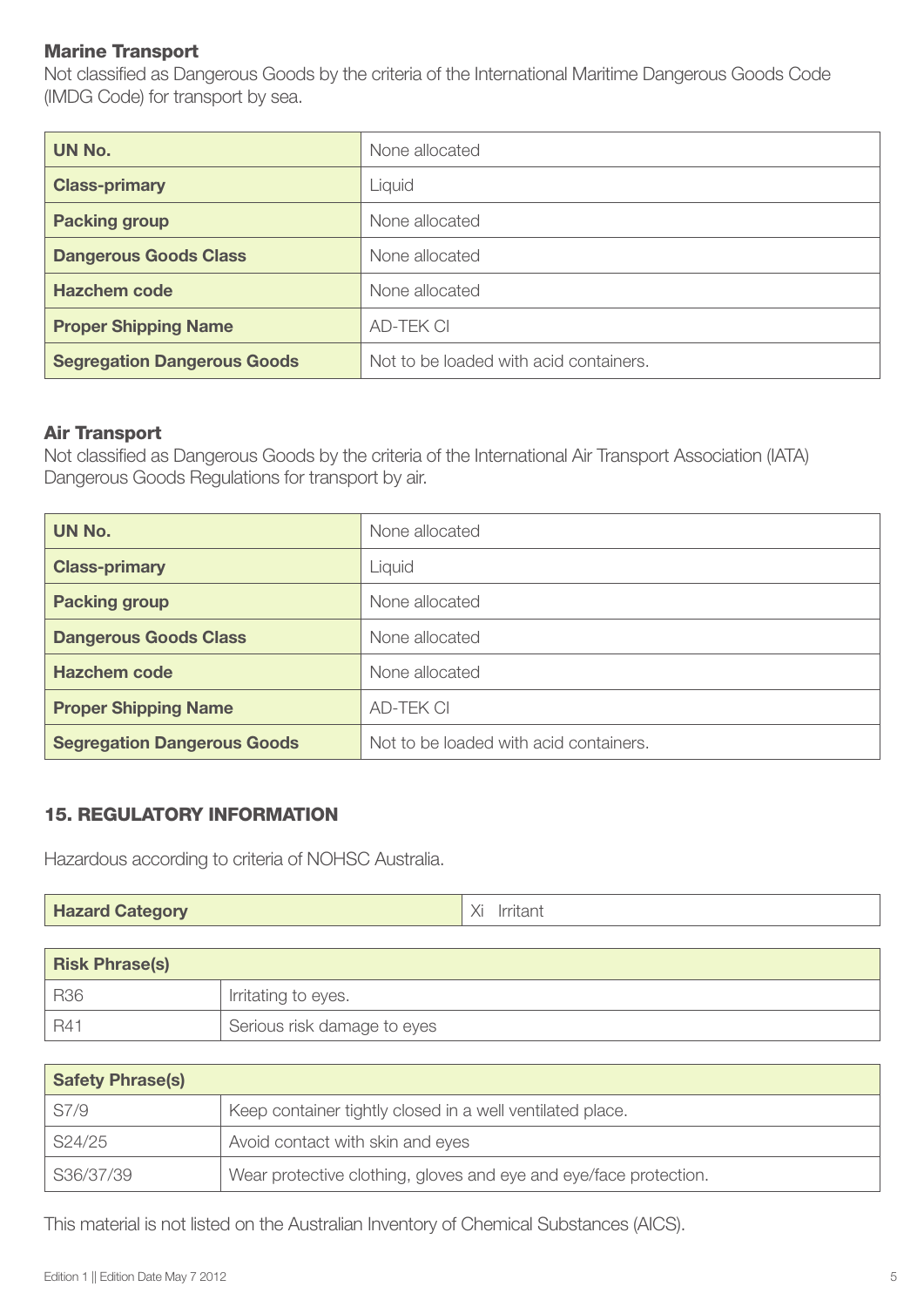### Marine Transport

Not classified as Dangerous Goods by the criteria of the International Maritime Dangerous Goods Code (IMDG Code) for transport by sea.

| UN No.                             | None allocated                         |
|------------------------------------|----------------------------------------|
| <b>Class-primary</b>               | Liquid                                 |
| <b>Packing group</b>               | None allocated                         |
| <b>Dangerous Goods Class</b>       | None allocated                         |
| <b>Hazchem code</b>                | None allocated                         |
| <b>Proper Shipping Name</b>        | <b>AD-TEK CI</b>                       |
| <b>Segregation Dangerous Goods</b> | Not to be loaded with acid containers. |

#### Air Transport

Not classified as Dangerous Goods by the criteria of the International Air Transport Association (IATA) Dangerous Goods Regulations for transport by air.

| UN No.                             | None allocated                         |
|------------------------------------|----------------------------------------|
| <b>Class-primary</b>               | Liquid                                 |
| <b>Packing group</b>               | None allocated                         |
| <b>Dangerous Goods Class</b>       | None allocated                         |
| <b>Hazchem code</b>                | None allocated                         |
| <b>Proper Shipping Name</b>        | <b>AD-TEK CI</b>                       |
| <b>Segregation Dangerous Goods</b> | Not to be loaded with acid containers. |

#### 15. REGULATORY INFORMATION

Hazardous according to criteria of NOHSC Australia.

| <b>Hazard Category</b> | Irritant |
|------------------------|----------|
|------------------------|----------|

| <b>Risk Phrase(s)</b> |                             |
|-----------------------|-----------------------------|
| <b>R36</b>            | Irritating to eyes.         |
| R4 <sup>.</sup>       | Serious risk damage to eyes |

| <b>Safety Phrase(s)</b> |                                                                   |
|-------------------------|-------------------------------------------------------------------|
| S7/9                    | Keep container tightly closed in a well ventilated place.         |
| S24/25                  | Avoid contact with skin and eyes                                  |
| S36/37/39               | Wear protective clothing, gloves and eye and eye/face protection. |

This material is not listed on the Australian Inventory of Chemical Substances (AICS).